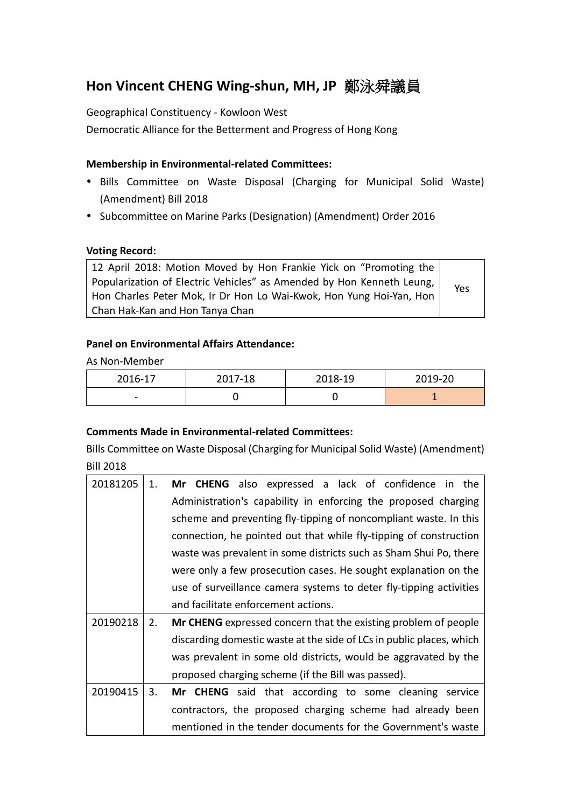# **Hon Vincent CHENG Wing-shun, MH, JP** 鄭泳舜議員

Geographical Constituency - Kowloon West

Democratic Alliance for the Betterment and Progress of Hong Kong

# **Membership in Environmental-related Committees:**

- Bills Committee on Waste Disposal (Charging for Municipal Solid Waste) (Amendment) Bill 2018
- Subcommittee on Marine Parks (Designation) (Amendment) Order 2016

### **Voting Record:**

12 April 2018: Motion Moved by Hon Frankie Yick on "Promoting the Popularization of Electric Vehicles" as Amended by Hon Kenneth Leung, Hon Charles Peter Mok, Ir Dr Hon Lo Wai-Kwok, Hon Yung Hoi-Yan, Hon Chan Hak-Kan and Hon Tanya Chan Yes

### **Panel on Environmental Affairs Attendance:**

As Non-Member

| 2016-17                  | 2017-18 | 2018-19 | 2019-20 |
|--------------------------|---------|---------|---------|
| $\overline{\phantom{a}}$ |         |         |         |

# **Comments Made in Environmental-related Committees:**

Bills Committee on Waste Disposal (Charging for Municipal Solid Waste) (Amendment) Bill 2018

| 20181205 | 1. | Mr CHENG also expressed a lack of confidence in the                  |
|----------|----|----------------------------------------------------------------------|
|          |    | Administration's capability in enforcing the proposed charging       |
|          |    | scheme and preventing fly-tipping of noncompliant waste. In this     |
|          |    | connection, he pointed out that while fly-tipping of construction    |
|          |    | waste was prevalent in some districts such as Sham Shui Po, there    |
|          |    | were only a few prosecution cases. He sought explanation on the      |
|          |    | use of surveillance camera systems to deter fly-tipping activities   |
|          |    | and facilitate enforcement actions.                                  |
| 20190218 | 2. | Mr CHENG expressed concern that the existing problem of people       |
|          |    | discarding domestic waste at the side of LCs in public places, which |
|          |    | was prevalent in some old districts, would be aggravated by the      |
|          |    | proposed charging scheme (if the Bill was passed).                   |
| 20190415 | 3. | Mr CHENG said that according to some cleaning<br>service             |
|          |    | contractors, the proposed charging scheme had already been           |
|          |    | mentioned in the tender documents for the Government's waste         |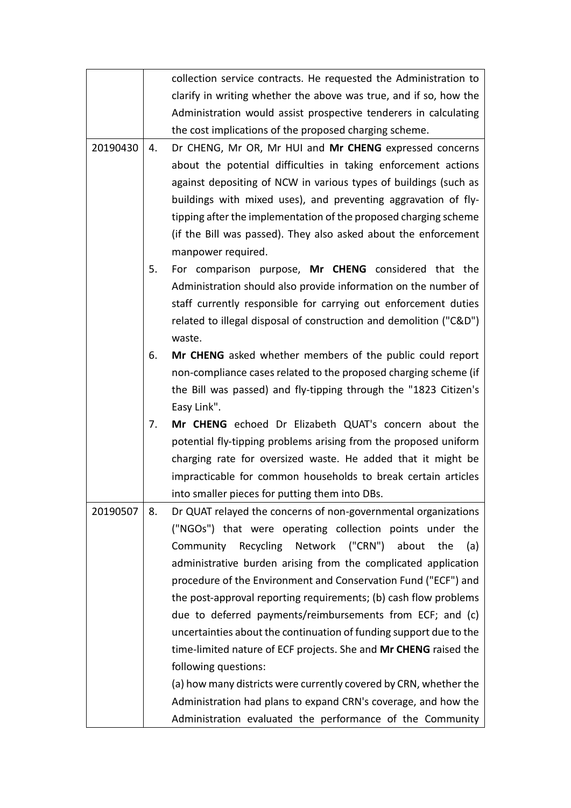|          |    | collection service contracts. He requested the Administration to   |
|----------|----|--------------------------------------------------------------------|
|          |    | clarify in writing whether the above was true, and if so, how the  |
|          |    | Administration would assist prospective tenderers in calculating   |
|          |    | the cost implications of the proposed charging scheme.             |
| 20190430 | 4. | Dr CHENG, Mr OR, Mr HUI and Mr CHENG expressed concerns            |
|          |    | about the potential difficulties in taking enforcement actions     |
|          |    | against depositing of NCW in various types of buildings (such as   |
|          |    | buildings with mixed uses), and preventing aggravation of fly-     |
|          |    | tipping after the implementation of the proposed charging scheme   |
|          |    | (if the Bill was passed). They also asked about the enforcement    |
|          |    | manpower required.                                                 |
|          | 5. | For comparison purpose, Mr CHENG considered that the               |
|          |    | Administration should also provide information on the number of    |
|          |    | staff currently responsible for carrying out enforcement duties    |
|          |    | related to illegal disposal of construction and demolition ("C&D") |
|          |    | waste.                                                             |
|          | 6. | Mr CHENG asked whether members of the public could report          |
|          |    | non-compliance cases related to the proposed charging scheme (if   |
|          |    | the Bill was passed) and fly-tipping through the "1823 Citizen's   |
|          |    | Easy Link".                                                        |
|          | 7. | Mr CHENG echoed Dr Elizabeth QUAT's concern about the              |
|          |    | potential fly-tipping problems arising from the proposed uniform   |
|          |    | charging rate for oversized waste. He added that it might be       |
|          |    | impracticable for common households to break certain articles      |
|          |    | into smaller pieces for putting them into DBs.                     |
| 20190507 | 8. | Dr QUAT relayed the concerns of non-governmental organizations     |
|          |    | ("NGOs") that were operating collection points under the           |
|          |    | Community Recycling Network ("CRN") about the<br>(a)               |
|          |    | administrative burden arising from the complicated application     |
|          |    | procedure of the Environment and Conservation Fund ("ECF") and     |
|          |    | the post-approval reporting requirements; (b) cash flow problems   |
|          |    | due to deferred payments/reimbursements from ECF; and (c)          |
|          |    | uncertainties about the continuation of funding support due to the |
|          |    | time-limited nature of ECF projects. She and Mr CHENG raised the   |
|          |    | following questions:                                               |
|          |    | (a) how many districts were currently covered by CRN, whether the  |
|          |    | Administration had plans to expand CRN's coverage, and how the     |
|          |    | Administration evaluated the performance of the Community          |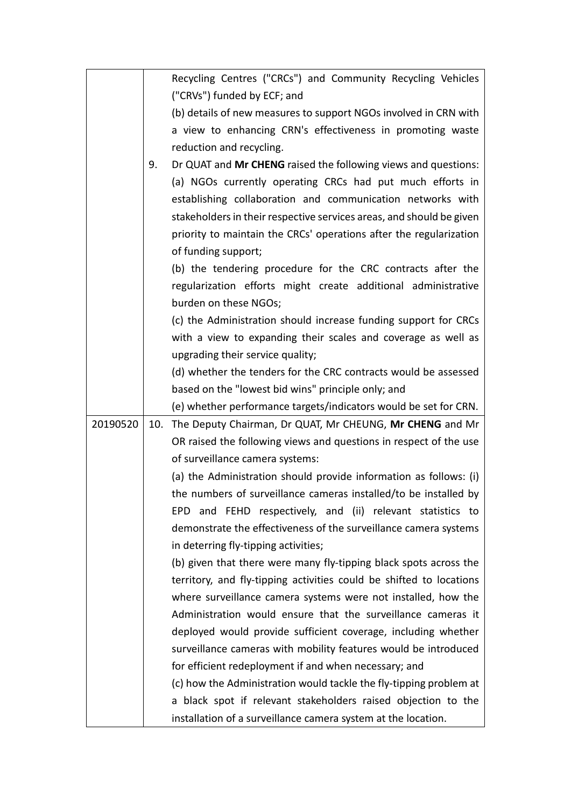|          |     | Recycling Centres ("CRCs") and Community Recycling Vehicles          |
|----------|-----|----------------------------------------------------------------------|
|          |     | ("CRVs") funded by ECF; and                                          |
|          |     | (b) details of new measures to support NGOs involved in CRN with     |
|          |     | a view to enhancing CRN's effectiveness in promoting waste           |
|          |     | reduction and recycling.                                             |
|          | 9.  | Dr QUAT and Mr CHENG raised the following views and questions:       |
|          |     | (a) NGOs currently operating CRCs had put much efforts in            |
|          |     | establishing collaboration and communication networks with           |
|          |     | stakeholders in their respective services areas, and should be given |
|          |     | priority to maintain the CRCs' operations after the regularization   |
|          |     | of funding support;                                                  |
|          |     | (b) the tendering procedure for the CRC contracts after the          |
|          |     | regularization efforts might create additional administrative        |
|          |     | burden on these NGOs;                                                |
|          |     | (c) the Administration should increase funding support for CRCs      |
|          |     | with a view to expanding their scales and coverage as well as        |
|          |     | upgrading their service quality;                                     |
|          |     | (d) whether the tenders for the CRC contracts would be assessed      |
|          |     | based on the "lowest bid wins" principle only; and                   |
|          |     | (e) whether performance targets/indicators would be set for CRN.     |
| 20190520 | 10. | The Deputy Chairman, Dr QUAT, Mr CHEUNG, Mr CHENG and Mr             |
|          |     | OR raised the following views and questions in respect of the use    |
|          |     | of surveillance camera systems:                                      |
|          |     | (a) the Administration should provide information as follows: (i)    |
|          |     | the numbers of surveillance cameras installed/to be installed by     |
|          |     | EPD and FEHD respectively, and (ii) relevant statistics to           |
|          |     | demonstrate the effectiveness of the surveillance camera systems     |
|          |     | in deterring fly-tipping activities;                                 |
|          |     | (b) given that there were many fly-tipping black spots across the    |
|          |     | territory, and fly-tipping activities could be shifted to locations  |
|          |     | where surveillance camera systems were not installed, how the        |
|          |     | Administration would ensure that the surveillance cameras it         |
|          |     | deployed would provide sufficient coverage, including whether        |
|          |     | surveillance cameras with mobility features would be introduced      |
|          |     | for efficient redeployment if and when necessary; and                |
|          |     | (c) how the Administration would tackle the fly-tipping problem at   |
|          |     | a black spot if relevant stakeholders raised objection to the        |
|          |     | installation of a surveillance camera system at the location.        |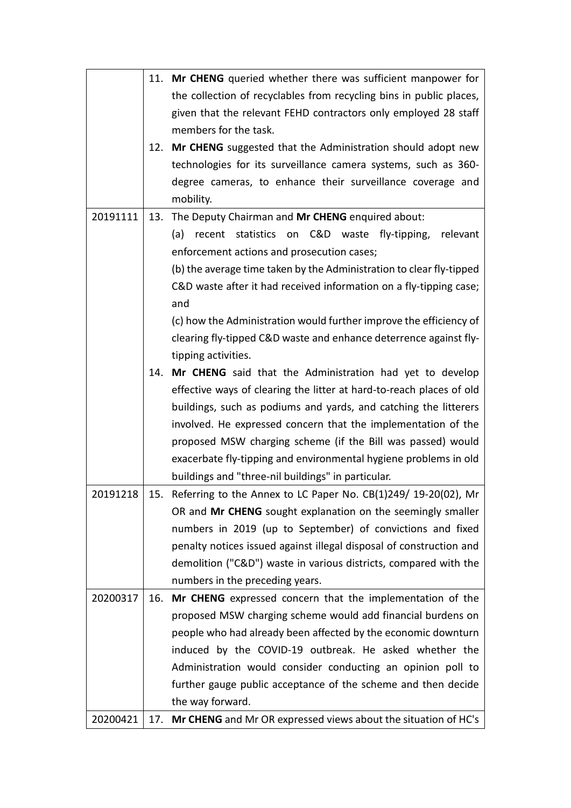|          |     | 11. Mr CHENG queried whether there was sufficient manpower for       |
|----------|-----|----------------------------------------------------------------------|
|          |     | the collection of recyclables from recycling bins in public places,  |
|          |     | given that the relevant FEHD contractors only employed 28 staff      |
|          |     | members for the task.                                                |
|          |     | 12. Mr CHENG suggested that the Administration should adopt new      |
|          |     | technologies for its surveillance camera systems, such as 360-       |
|          |     | degree cameras, to enhance their surveillance coverage and           |
|          |     | mobility.                                                            |
| 20191111 |     | 13. The Deputy Chairman and Mr CHENG enquired about:                 |
|          |     | (a) recent statistics on C&D waste fly-tipping, relevant             |
|          |     | enforcement actions and prosecution cases;                           |
|          |     | (b) the average time taken by the Administration to clear fly-tipped |
|          |     | C&D waste after it had received information on a fly-tipping case;   |
|          |     | and                                                                  |
|          |     | (c) how the Administration would further improve the efficiency of   |
|          |     | clearing fly-tipped C&D waste and enhance deterrence against fly-    |
|          |     | tipping activities.                                                  |
|          | 14. | Mr CHENG said that the Administration had yet to develop             |
|          |     | effective ways of clearing the litter at hard-to-reach places of old |
|          |     | buildings, such as podiums and yards, and catching the litterers     |
|          |     | involved. He expressed concern that the implementation of the        |
|          |     | proposed MSW charging scheme (if the Bill was passed) would          |
|          |     | exacerbate fly-tipping and environmental hygiene problems in old     |
|          |     | buildings and "three-nil buildings" in particular.                   |
| 20191218 | 15. | Referring to the Annex to LC Paper No. CB(1)249/ 19-20(02), Mr       |
|          |     | OR and Mr CHENG sought explanation on the seemingly smaller          |
|          |     | numbers in 2019 (up to September) of convictions and fixed           |
|          |     | penalty notices issued against illegal disposal of construction and  |
|          |     | demolition ("C&D") waste in various districts, compared with the     |
|          |     | numbers in the preceding years.                                      |
| 20200317 | 16. | Mr CHENG expressed concern that the implementation of the            |
|          |     | proposed MSW charging scheme would add financial burdens on          |
|          |     | people who had already been affected by the economic downturn        |
|          |     | induced by the COVID-19 outbreak. He asked whether the               |
|          |     | Administration would consider conducting an opinion poll to          |
|          |     | further gauge public acceptance of the scheme and then decide        |
|          |     | the way forward.                                                     |
| 20200421 | 17. | Mr CHENG and Mr OR expressed views about the situation of HC's       |